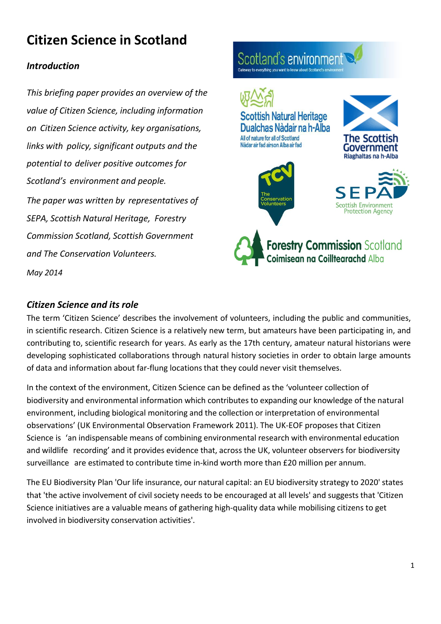# **Citizen Science in Scotland**

#### *Introduction*

*This briefing paper provides an overview of the value of Citizen Science, including information on Citizen Science activity, key organisations, links with policy, significant outputs and the potential to deliver positive outcomes for Scotland's environment and people. The paper was written by representatives of SEPA, Scottish Natural Heritage, Forestry Commission Scotland, Scottish Government and The Conservation Volunteers.*



*May 2014*

#### *Citizen Science and its role*

The term 'Citizen Science' describes the involvement of volunteers, including the public and communities, in scientific research. Citizen Science is a relatively new term, but amateurs have been participating in, and contributing to, scientific research for years. As early as the 17th century, amateur natural historians were developing sophisticated collaborations through natural history societies in order to obtain large amounts of data and information about far-flung locations that they could never visit themselves.

In the context of the environment, Citizen Science can be defined as the 'volunteer collection of biodiversity and environmental information which contributes to expanding our knowledge of the natural environment, including biological monitoring and the collection or interpretation of environmental observations' (UK Environmental Observation Framework 2011). The UK-EOF proposes that Citizen Science is 'an indispensable means of combining environmental research with environmental education and wildlife recording' and it provides evidence that, across the UK, volunteer observers for biodiversity surveillance are estimated to contribute time in-kind worth more than £20 million per annum.

The EU Biodiversity Plan 'Our life insurance, our natural capital: an EU biodiversity strategy to 2020' states that 'the active involvement of civil society needs to be encouraged at all levels' and suggests that 'Citizen Science initiatives are a valuable means of gathering high-quality data while mobilising citizens to get involved in biodiversity conservation activities'.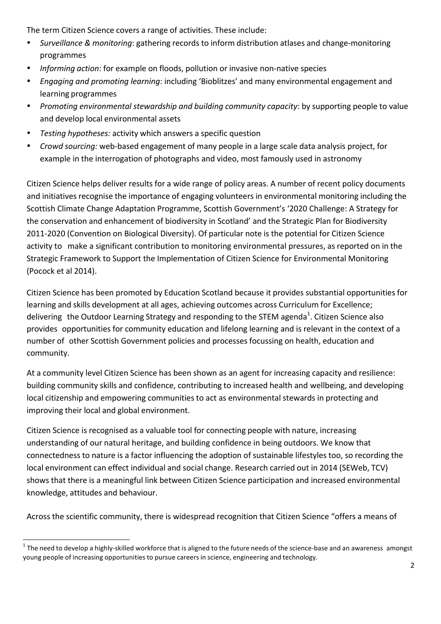The term Citizen Science covers a range of activities. These include:

- *Surveillance & monitoring*: gathering records to inform distribution atlases and change-monitoring programmes
- *Informing action:* for example on floods, pollution or invasive non-native species
- *Engaging and promoting learning*: including 'Bioblitzes' and many environmental engagement and learning programmes
- *Promoting environmental stewardship and building community capacity*: by supporting people to value and develop local environmental assets
- *Testing hypotheses:* activity which answers a specific question
- *Crowd sourcing:* web-based engagement of many people in a large scale data analysis project, for example in the interrogation of photographs and video, most famously used in astronomy

Citizen Science helps deliver results for a wide range of policy areas. A number of recent policy documents and initiatives recognise the importance of engaging volunteers in environmental monitoring including the Scottish Climate Change Adaptation Programme, Scottish Government's '2020 Challenge: A Strategy for the conservation and enhancement of biodiversity in Scotland' and the Strategic Plan for Biodiversity 2011-2020 (Convention on Biological Diversity). Of particular note is the potential for Citizen Science activity to make a significant contribution to monitoring environmental pressures, as reported on in the Strategic Framework to Support the Implementation of Citizen Science for Environmental Monitoring (Pocock et al 2014).

Citizen Science has been promoted by Education Scotland because it provides substantial opportunities for learning and skills development at all ages, achieving outcomes across Curriculum for Excellence; delivering the Outdoor Learning Strategy and responding to the STEM agenda<sup>1</sup>. Citizen Science also provides opportunities for community education and lifelong learning and is relevant in the context of a number of other Scottish Government policies and processes focussing on health, education and community.

At a community level Citizen Science has been shown as an agent for increasing capacity and resilience: building community skills and confidence, contributing to increased health and wellbeing, and developing local citizenship and empowering communities to act as environmental stewards in protecting and improving their local and global environment.

Citizen Science is recognised as a valuable tool for connecting people with nature, increasing understanding of our natural heritage, and building confidence in being outdoors. We know that connectedness to nature is a factor influencing the adoption of sustainable lifestyles too, so recording the local environment can effect individual and social change. Research carried out in 2014 (SEWeb, TCV) shows that there is a meaningful link between Citizen Science participation and increased environmental knowledge, attitudes and behaviour.

Across the scientific community, there is widespread recognition that Citizen Science "offers a means of

<u> 1989 - Jan Samuel Barbara, margaret e</u>

 $1$  The need to develop a highly-skilled workforce that is aligned to the future needs of the science-base and an awareness amongst young people of increasing opportunities to pursue careersin science, engineering and technology.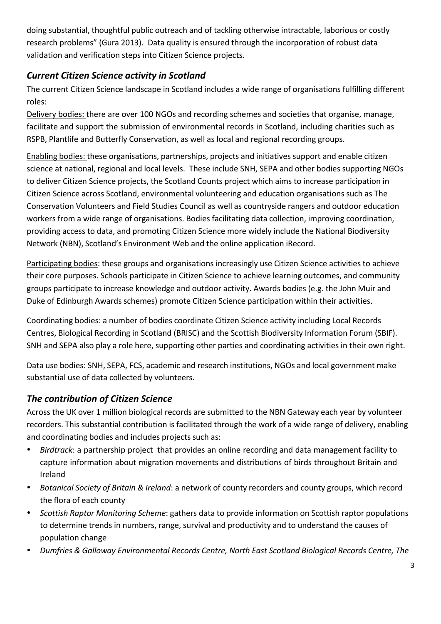doing substantial, thoughtful public outreach and of tackling otherwise intractable, laborious or costly research problems" (Gura 2013). Data quality is ensured through the incorporation of robust data validation and verification steps into Citizen Science projects.

#### *Current Citizen Science activity in Scotland*

The current Citizen Science landscape in Scotland includes a wide range of organisations fulfilling different roles:

Delivery bodies: there are over 100 NGOs and recording schemes and societies that organise, manage, facilitate and support the submission of environmental records in Scotland, including charities such as RSPB, Plantlife and Butterfly Conservation, as well as local and regional recording groups.

Enabling bodies: these organisations, partnerships, projects and initiatives support and enable citizen science at national, regional and local levels. These include SNH, SEPA and other bodies supporting NGOs to deliver Citizen Science projects, the Scotland Counts project which aims to increase participation in Citizen Science across Scotland, environmental volunteering and education organisations such as The Conservation Volunteers and Field Studies Council as well as countryside rangers and outdoor education workers from a wide range of organisations. Bodies facilitating data collection, improving coordination, providing access to data, and promoting Citizen Science more widely include the National Biodiversity Network (NBN), Scotland's Environment Web and the online application iRecord.

Participating bodies: these groups and organisations increasingly use Citizen Science activities to achieve their core purposes. Schools participate in Citizen Science to achieve learning outcomes, and community groups participate to increase knowledge and outdoor activity. Awards bodies (e.g. the John Muir and Duke of Edinburgh Awards schemes) promote Citizen Science participation within their activities.

Coordinating bodies: a number of bodies coordinate Citizen Science activity including Local Records Centres, Biological Recording in Scotland (BRISC) and the Scottish Biodiversity Information Forum (SBIF). SNH and SEPA also play a role here, supporting other parties and coordinating activities in their own right.

Data use bodies: SNH, SEPA, FCS, academic and research institutions, NGOs and local government make substantial use of data collected by volunteers.

### **The contribution of Citizen Science**

Across the UK over 1 million biological records are submitted to the NBN Gateway each year by volunteer recorders. This substantial contribution is facilitated through the work of a wide range of delivery, enabling and coordinating bodies and includes projects such as:

- *Birdtrack*: a partnership project that provides an online recording and data management facility to capture information about migration movements and distributions of birds throughout Britain and Ireland
- *Botanical Society of Britain & Ireland*: a network of county recorders and county groups, which record the flora of each county
- *Scottish Raptor Monitoring Scheme*: gathers data to provide information on Scottish raptor populations to determine trends in numbers, range, survival and productivity and to understand the causes of population change
- *Dumfries & Galloway Environmental Records Centre, North East Scotland Biological Records Centre, The*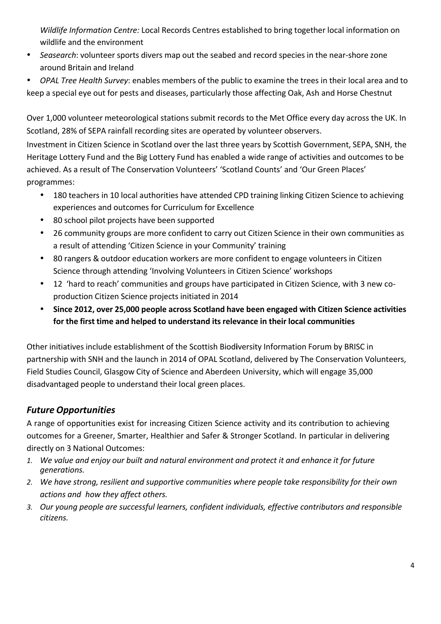*Wildlife Information Centre:* Local Records Centres established to bring together local information on wildlife and the environment

- *Seasearch*: volunteer sports divers map out the seabed and record species in the near-shore zone around Britain and Ireland
- **OPAL Tree Health Survey:** enables members of the public to examine the trees in their local area and to keep a special eye out for pests and diseases, particularly those affecting Oak, Ash and Horse Chestnut

Over 1,000 volunteer meteorological stations submit records to the Met Office every day across the UK. In Scotland, 28% of SEPA rainfall recording sites are operated by volunteer observers.

Investment in Citizen Science in Scotland over the last three years by Scottish Government, SEPA, SNH, the Heritage Lottery Fund and the Big Lottery Fund has enabled a wide range of activities and outcomes to be achieved. As a result of The Conservation Volunteers' 'Scotland Counts' and 'Our Green Places' programmes:

- 180 teachers in 10 local authorities have attended CPD training linking Citizen Science to achieving experiences and outcomes for Curriculum for Excellence
- 80 school pilot projects have been supported
- 26 community groups are more confident to carry out Citizen Science in their own communities as a result of attending 'Citizen Science in your Community' training
- 80 rangers & outdoor education workers are more confident to engage volunteers in Citizen Science through attending 'Involving Volunteers in Citizen Science' workshops
- 12 'hard to reach' communities and groups have participated in Citizen Science, with 3 new coproduction Citizen Science projects initiated in 2014
- **Since 2012, over 25,000 people across Scotland have been engaged with Citizen Science activities for the first time and helped to understand its relevance in their local communities**

Other initiatives include establishment of the Scottish Biod**i**versity Information Forum by BRISC in partnership with SNH and the launch in 2014 of OPAL Scotland, delivered by The Conservation Volunteers, Field Studies Council, Glasgow City of Science and Aberdeen University, which will engage 35,000 disadvantaged people to understand their local green places.

## *Future Opportunities*

A range of opportunities exist for increasing Citizen Science activity and its contribution to achieving outcomes for a Greener, Smarter, Healthier and Safer & Stronger Scotland. In particular in delivering directly on 3 National Outcomes:

- *1. We value and enjoy our built and natural environment and protect it and enhance it for future generations.*
- *2. We have strong, resilient and supportive communities where people take responsibility for their own actions and how they affect others.*
- *3. Our young people are successful learners, confident individuals, effective contributors and responsible citizens.*